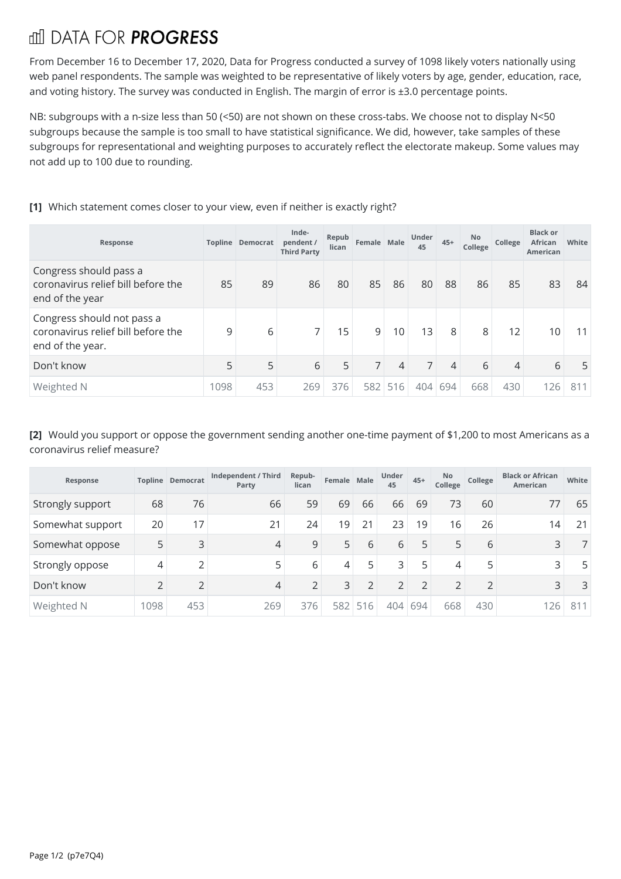## **THI DATA FOR PROGRESS**

From December 16 to December 17, 2020, Data for Progress conducted a survey of 1098 likely voters nationally using web panel respondents. The sample was weighted to be representative of likely voters by age, gender, education, race, and voting history. The survey was conducted in English. The margin of error is ±3.0 percentage points.

NB: subgroups with a n-size less than 50 (<50) are not shown on these cross-tabs. We choose not to display N<50 subgroups because the sample is too small to have statistical significance. We did, however, take samples of these subgroups for representational and weighting purposes to accurately reflect the electorate makeup. Some values may not add up to 100 due to rounding.

## **[1]** Which statement comes closer to your view, even if neither is exactly right?

| Response                                                                             |     | <b>Topline Democrat</b> | Inde-<br>pendent /<br><b>Third Party</b> | Repub<br>lican | Female Male |         | Under<br>45    | $45+$          | No<br>College  | College | <b>Black or</b><br>African<br>American | White |
|--------------------------------------------------------------------------------------|-----|-------------------------|------------------------------------------|----------------|-------------|---------|----------------|----------------|----------------|---------|----------------------------------------|-------|
| Congress should pass a<br>coronavirus relief bill before the<br>end of the year      | 85  | 89                      | 86                                       | 80             | 85          | 86      | 80             | 88             | 86             | 85      | 83                                     | 84    |
| Congress should not pass a<br>coronavirus relief bill before the<br>end of the year. | 9   | 6                       | 7                                        | 15             | 9           | 10      | 13             | 8              | 8 <sup>1</sup> | 12      | 10                                     | 11    |
| Don't know                                                                           | 5   | 5                       | 6                                        | 5              | 7           | 4       | 7 <sup>1</sup> | $\overline{4}$ | 6              | 4       | 6                                      | 5     |
| Weighted N                                                                           | 098 | 453                     | 269                                      | 376            |             | 582 516 | 404            | 694            | 668            | 430     | 126                                    | 811   |

## **[2]** Would you support or oppose the government sending another one-time payment of \$1,200 to most Americans as a coronavirus relief measure?

| Response         |      | <b>Topline Democrat</b> | Independent / Third<br>Party | Repub-<br>lican | Female Male    |                | Under<br>45 | $45+$          | <b>No</b><br>College | College        | <b>Black or African</b><br><b>American</b> | White |
|------------------|------|-------------------------|------------------------------|-----------------|----------------|----------------|-------------|----------------|----------------------|----------------|--------------------------------------------|-------|
| Strongly support | 68   | 76                      | 66                           | 59              | 69             | 66             | 66          | 69             | 73                   | 60             | 77                                         | 65    |
| Somewhat support | 20   | 17                      | 21                           | 24              | 19             | 21             | 23          | 19             | 16                   | 26             | 14                                         | 21    |
| Somewhat oppose  | 5    | 3                       | 4                            | 9               | 5              | 6              | 6           | 5              | 5                    | 6              | 3                                          |       |
| Strongly oppose  | 4    | h                       | 5                            | 6               | 4              | 5              | 3           | 5              | 4                    | 5              | 3                                          | 5     |
| Don't know       | C    | ∍                       | 4                            | C.              | $\overline{3}$ | $\overline{2}$ | ∍           | $\overline{2}$ | $\overline{2}$       | $\overline{2}$ | 3                                          | 3     |
| Weighted N       | 1098 | 453                     | 269                          | 376             | 582            | 516            | 404         | 694            | 668                  | 430            | 126                                        | 811   |